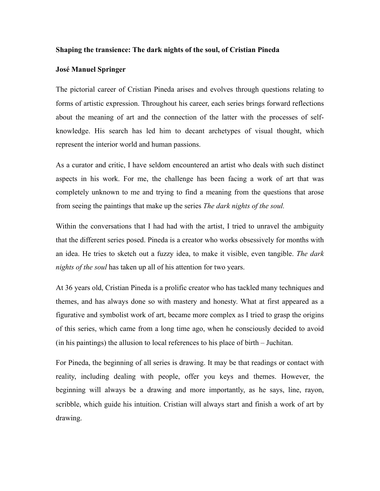## **Shaping the transience: The dark nights of the soul, of Cristian Pineda**

## **José Manuel Springer**

The pictorial career of Cristian Pineda arises and evolves through questions relating to forms of artistic expression. Throughout his career, each series brings forward reflections about the meaning of art and the connection of the latter with the processes of selfknowledge. His search has led him to decant archetypes of visual thought, which represent the interior world and human passions.

As a curator and critic, I have seldom encountered an artist who deals with such distinct aspects in his work. For me, the challenge has been facing a work of art that was completely unknown to me and trying to find a meaning from the questions that arose from seeing the paintings that make up the series *The dark nights of the soul.* 

Within the conversations that I had had with the artist, I tried to unravel the ambiguity that the different series posed. Pineda is a creator who works obsessively for months with an idea. He tries to sketch out a fuzzy idea, to make it visible, even tangible. *The dark nights of the soul* has taken up all of his attention for two years.

At 36 years old, Cristian Pineda is a prolific creator who has tackled many techniques and themes, and has always done so with mastery and honesty. What at first appeared as a figurative and symbolist work of art, became more complex as I tried to grasp the origins of this series, which came from a long time ago, when he consciously decided to avoid (in his paintings) the allusion to local references to his place of birth – Juchitan.

For Pineda, the beginning of all series is drawing. It may be that readings or contact with reality, including dealing with people, offer you keys and themes. However, the beginning will always be a drawing and more importantly, as he says, line, rayon, scribble, which guide his intuition. Cristian will always start and finish a work of art by drawing.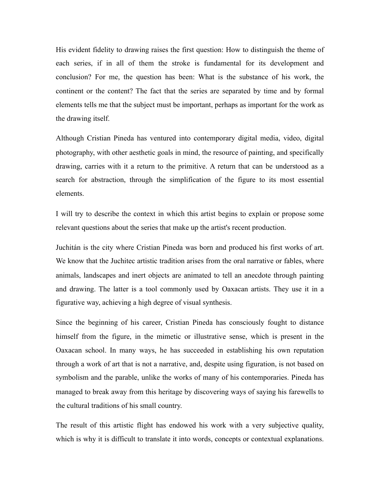His evident fidelity to drawing raises the first question: How to distinguish the theme of each series, if in all of them the stroke is fundamental for its development and conclusion? For me, the question has been: What is the substance of his work, the continent or the content? The fact that the series are separated by time and by formal elements tells me that the subject must be important, perhaps as important for the work as the drawing itself.

Although Cristian Pineda has ventured into contemporary digital media, video, digital photography, with other aesthetic goals in mind, the resource of painting, and specifically drawing, carries with it a return to the primitive. A return that can be understood as a search for abstraction, through the simplification of the figure to its most essential elements.

I will try to describe the context in which this artist begins to explain or propose some relevant questions about the series that make up the artist's recent production.

Juchitán is the city where Cristian Pineda was born and produced his first works of art. We know that the Juchitec artistic tradition arises from the oral narrative or fables, where animals, landscapes and inert objects are animated to tell an anecdote through painting and drawing. The latter is a tool commonly used by Oaxacan artists. They use it in a figurative way, achieving a high degree of visual synthesis.

Since the beginning of his career, Cristian Pineda has consciously fought to distance himself from the figure, in the mimetic or illustrative sense, which is present in the Oaxacan school. In many ways, he has succeeded in establishing his own reputation through a work of art that is not a narrative, and, despite using figuration, is not based on symbolism and the parable, unlike the works of many of his contemporaries. Pineda has managed to break away from this heritage by discovering ways of saying his farewells to the cultural traditions of his small country.

The result of this artistic flight has endowed his work with a very subjective quality, which is why it is difficult to translate it into words, concepts or contextual explanations.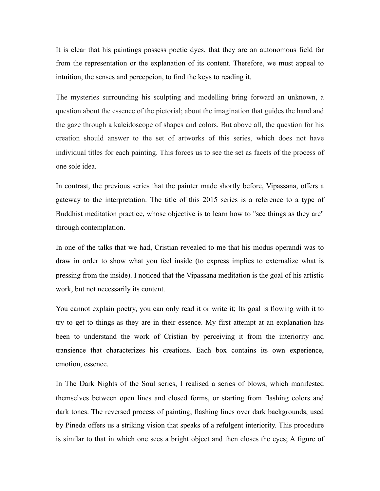It is clear that his paintings possess poetic dyes, that they are an autonomous field far from the representation or the explanation of its content. Therefore, we must appeal to intuition, the senses and percepcion, to find the keys to reading it.

The mysteries surrounding his sculpting and modelling bring forward an unknown, a question about the essence of the pictorial; about the imagination that guides the hand and the gaze through a kaleidoscope of shapes and colors. But above all, the question for his creation should answer to the set of artworks of this series, which does not have individual titles for each painting. This forces us to see the set as facets of the process of one sole idea.

In contrast, the previous series that the painter made shortly before, Vipassana, offers a gateway to the interpretation. The title of this 2015 series is a reference to a type of Buddhist meditation practice, whose objective is to learn how to "see things as they are" through contemplation.

In one of the talks that we had, Cristian revealed to me that his modus operandi was to draw in order to show what you feel inside (to express implies to externalize what is pressing from the inside). I noticed that the Vipassana meditation is the goal of his artistic work, but not necessarily its content.

You cannot explain poetry, you can only read it or write it; Its goal is flowing with it to try to get to things as they are in their essence. My first attempt at an explanation has been to understand the work of Cristian by perceiving it from the interiority and transience that characterizes his creations. Each box contains its own experience, emotion, essence.

In The Dark Nights of the Soul series, I realised a series of blows, which manifested themselves between open lines and closed forms, or starting from flashing colors and dark tones. The reversed process of painting, flashing lines over dark backgrounds, used by Pineda offers us a striking vision that speaks of a refulgent interiority. This procedure is similar to that in which one sees a bright object and then closes the eyes; A figure of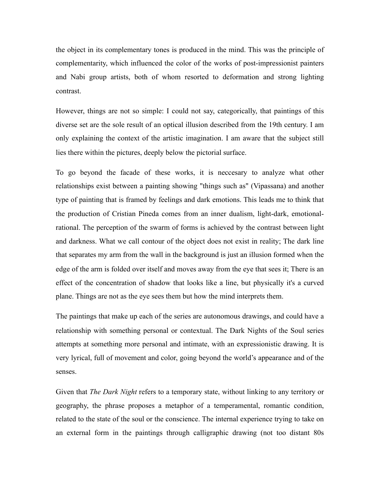the object in its complementary tones is produced in the mind. This was the principle of complementarity, which influenced the color of the works of post-impressionist painters and Nabi group artists, both of whom resorted to deformation and strong lighting contrast.

However, things are not so simple: I could not say, categorically, that paintings of this diverse set are the sole result of an optical illusion described from the 19th century. I am only explaining the context of the artistic imagination. I am aware that the subject still lies there within the pictures, deeply below the pictorial surface.

To go beyond the facade of these works, it is neccesary to analyze what other relationships exist between a painting showing "things such as" (Vipassana) and another type of painting that is framed by feelings and dark emotions. This leads me to think that the production of Cristian Pineda comes from an inner dualism, light-dark, emotionalrational. The perception of the swarm of forms is achieved by the contrast between light and darkness. What we call contour of the object does not exist in reality; The dark line that separates my arm from the wall in the background is just an illusion formed when the edge of the arm is folded over itself and moves away from the eye that sees it; There is an effect of the concentration of shadow that looks like a line, but physically it's a curved plane. Things are not as the eye sees them but how the mind interprets them.

The paintings that make up each of the series are autonomous drawings, and could have a relationship with something personal or contextual. The Dark Nights of the Soul series attempts at something more personal and intimate, with an expressionistic drawing. It is very lyrical, full of movement and color, going beyond the world's appearance and of the senses.

Given that *The Dark Night* refers to a temporary state, without linking to any territory or geography, the phrase proposes a metaphor of a temperamental, romantic condition, related to the state of the soul or the conscience. The internal experience trying to take on an external form in the paintings through calligraphic drawing (not too distant 80s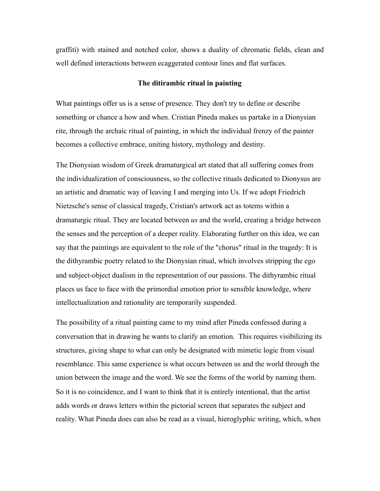graffiti) with stained and notched color, shows a duality of chromatic fields, clean and well defined interactions between ecaggerated contour lines and flat surfaces.

# **The ditirambic ritual in painting**

What paintings offer us is a sense of presence. They don't try to define or describe something or chance a how and when. Cristian Pineda makes us partake in a Dionysian rite, through the archaic ritual of painting, in which the individual frenzy of the painter becomes a collective embrace, uniting history, mythology and destiny.

The Dionysian wisdom of Greek dramaturgical art stated that all suffering comes from the individualization of consciousness, so the collective rituals dedicated to Dionysus are an artistic and dramatic way of leaving I and merging into Us. If we adopt Friedrich Nietzsche's sense of classical tragedy, Cristian's artwork act as totems within a dramaturgic ritual. They are located between *us* and the world, creating a bridge between the senses and the perception of a deeper reality. Elaborating further on this idea, we can say that the paintings are equivalent to the role of the "chorus" ritual in the tragedy: It is the dithyrambic poetry related to the Dionysian ritual, which involves stripping the ego and subject-object dualism in the representation of our passions. The dithyrambic ritual places us face to face with the primordial emotion prior to sensible knowledge, where intellectualization and rationality are temporarily suspended.

The possibility of a ritual painting came to my mind after Pineda confessed during a conversation that in drawing he wants to clarify an emotion. This requires visibilizing its structures, giving shape to what can only be designated with mimetic logic from visual resemblance. This same experience is what occurs between us and the world through the union between the image and the word. We see the forms of the world by naming them. So it is no coincidence, and I want to think that it is entirely intentional, that the artist adds words or draws letters within the pictorial screen that separates the subject and reality. What Pineda does can also be read as a visual, hieroglyphic writing, which, when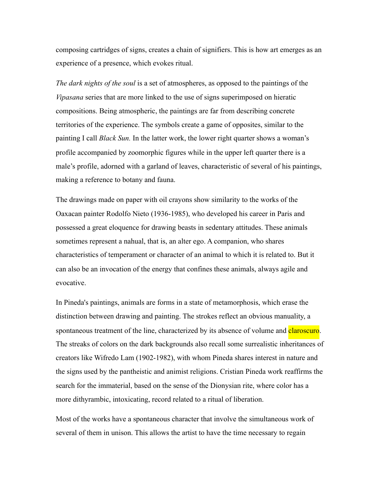composing cartridges of signs, creates a chain of signifiers. This is how art emerges as an experience of a presence, which evokes ritual.

*The dark nights of the soul* is a set of atmospheres, as opposed to the paintings of the *Vipasana* series that are more linked to the use of signs superimposed on hieratic compositions. Being atmospheric, the paintings are far from describing concrete territories of the experience. The symbols create a game of opposites, similar to the painting I call *Black Sun.* In the latter work, the lower right quarter shows a woman's profile accompanied by zoomorphic figures while in the upper left quarter there is a male's profile, adorned with a garland of leaves, characteristic of several of his paintings, making a reference to botany and fauna.

The drawings made on paper with oil crayons show similarity to the works of the Oaxacan painter Rodolfo Nieto (1936-1985), who developed his career in Paris and possessed a great eloquence for drawing beasts in sedentary attitudes. These animals sometimes represent a nahual, that is, an alter ego. A companion, who shares characteristics of temperament or character of an animal to which it is related to. But it can also be an invocation of the energy that confines these animals, always agile and evocative.

In Pineda's paintings, animals are forms in a state of metamorphosis, which erase the distinction between drawing and painting. The strokes reflect an obvious manuality, a spontaneous treatment of the line, characterized by its absence of volume and **claroscuro**. The streaks of colors on the dark backgrounds also recall some surrealistic inheritances of creators like Wifredo Lam (1902-1982), with whom Pineda shares interest in nature and the signs used by the pantheistic and animist religions. Cristian Pineda work reaffirms the search for the immaterial, based on the sense of the Dionysian rite, where color has a more dithyrambic, intoxicating, record related to a ritual of liberation.

Most of the works have a spontaneous character that involve the simultaneous work of several of them in unison. This allows the artist to have the time necessary to regain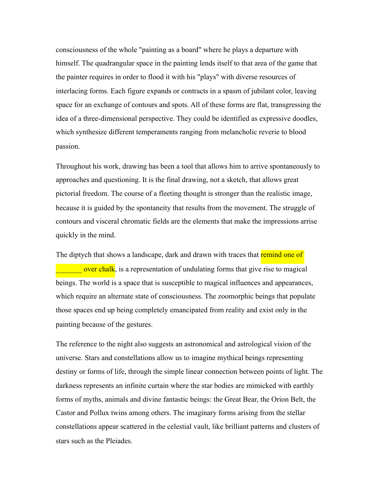consciousness of the whole "painting as a board" where he plays a departure with himself. The quadrangular space in the painting lends itself to that area of the game that the painter requires in order to flood it with his "plays" with diverse resources of interlacing forms. Each figure expands or contracts in a spasm of jubilant color, leaving space for an exchange of contours and spots. All of these forms are flat, transgressing the idea of a three-dimensional perspective. They could be identified as expressive doodles, which synthesize different temperaments ranging from melancholic reverie to blood passion.

Throughout his work, drawing has been a tool that allows him to arrive spontaneously to approaches and questioning. It is the final drawing, not a sketch, that allows great pictorial freedom. The course of a fleeting thought is stronger than the realistic image, because it is guided by the spontaneity that results from the movement. The struggle of contours and visceral chromatic fields are the elements that make the impressions arrise quickly in the mind.

The diptych that shows a landscape, dark and drawn with traces that remind one of over chalk, is a representation of undulating forms that give rise to magical beings. The world is a space that is susceptible to magical influences and appearances, which require an alternate state of consciousness. The zoomorphic beings that populate those spaces end up being completely emancipated from reality and exist only in the painting because of the gestures.

The reference to the night also suggests an astronomical and astrological vision of the universe. Stars and constellations allow us to imagine mythical beings representing destiny or forms of life, through the simple linear connection between points of light. The darkness represents an infinite curtain where the star bodies are mimicked with earthly forms of myths, animals and divine fantastic beings: the Great Bear, the Orion Belt, the Castor and Pollux twins among others. The imaginary forms arising from the stellar constellations appear scattered in the celestial vault, like brilliant patterns and clusters of stars such as the Pleiades.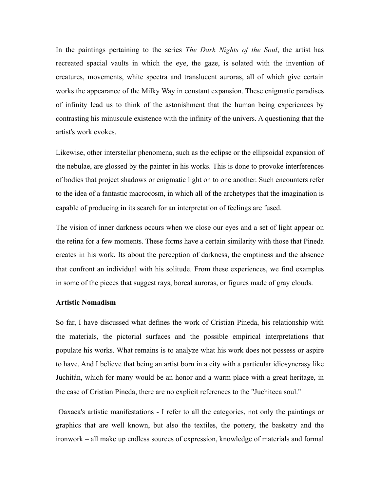In the paintings pertaining to the series *The Dark Nights of the Soul*, the artist has recreated spacial vaults in which the eye, the gaze, is solated with the invention of creatures, movements, white spectra and translucent auroras, all of which give certain works the appearance of the Milky Way in constant expansion. These enigmatic paradises of infinity lead us to think of the astonishment that the human being experiences by contrasting his minuscule existence with the infinity of the univers. A questioning that the artist's work evokes.

Likewise, other interstellar phenomena, such as the eclipse or the ellipsoidal expansion of the nebulae, are glossed by the painter in his works. This is done to provoke interferences of bodies that project shadows or enigmatic light on to one another. Such encounters refer to the idea of a fantastic macrocosm, in which all of the archetypes that the imagination is capable of producing in its search for an interpretation of feelings are fused.

The vision of inner darkness occurs when we close our eyes and a set of light appear on the retina for a few moments. These forms have a certain similarity with those that Pineda creates in his work. Its about the perception of darkness, the emptiness and the absence that confront an individual with his solitude. From these experiences, we find examples in some of the pieces that suggest rays, boreal auroras, or figures made of gray clouds.

#### **Artistic Nomadism**

So far, I have discussed what defines the work of Cristian Pineda, his relationship with the materials, the pictorial surfaces and the possible empirical interpretations that populate his works. What remains is to analyze what his work does not possess or aspire to have. And I believe that being an artist born in a city with a particular idiosyncrasy like Juchitán, which for many would be an honor and a warm place with a great heritage, in the case of Cristian Pineda, there are no explicit references to the "Juchiteca soul."

Oaxaca's artistic manifestations - I refer to all the categories, not only the paintings or graphics that are well known, but also the textiles, the pottery, the basketry and the ironwork – all make up endless sources of expression, knowledge of materials and formal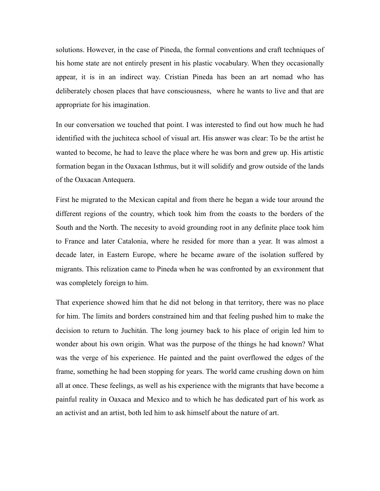solutions. However, in the case of Pineda, the formal conventions and craft techniques of his home state are not entirely present in his plastic vocabulary. When they occasionally appear, it is in an indirect way. Cristian Pineda has been an art nomad who has deliberately chosen places that have consciousness, where he wants to live and that are appropriate for his imagination.

In our conversation we touched that point. I was interested to find out how much he had identified with the juchiteca school of visual art. His answer was clear: To be the artist he wanted to become, he had to leave the place where he was born and grew up. His artistic formation began in the Oaxacan Isthmus, but it will solidify and grow outside of the lands of the Oaxacan Antequera.

First he migrated to the Mexican capital and from there he began a wide tour around the different regions of the country, which took him from the coasts to the borders of the South and the North. The necesity to avoid grounding root in any definite place took him to France and later Catalonia, where he resided for more than a year. It was almost a decade later, in Eastern Europe, where he became aware of the isolation suffered by migrants. This relization came to Pineda when he was confronted by an exvironment that was completely foreign to him.

That experience showed him that he did not belong in that territory, there was no place for him. The limits and borders constrained him and that feeling pushed him to make the decision to return to Juchitán. The long journey back to his place of origin led him to wonder about his own origin. What was the purpose of the things he had known? What was the verge of his experience. He painted and the paint overflowed the edges of the frame, something he had been stopping for years. The world came crushing down on him all at once. These feelings, as well as his experience with the migrants that have become a painful reality in Oaxaca and Mexico and to which he has dedicated part of his work as an activist and an artist, both led him to ask himself about the nature of art.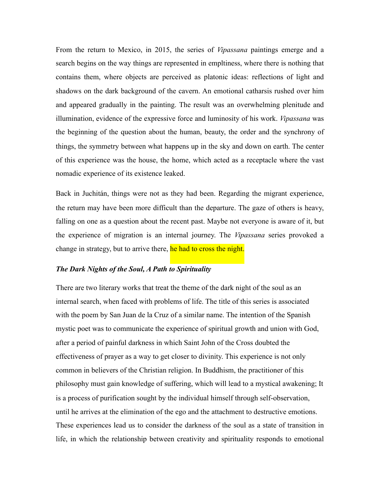From the return to Mexico, in 2015, the series of *Vipassana* paintings emerge and a search begins on the way things are represented in empltiness, where there is nothing that contains them, where objects are perceived as platonic ideas: reflections of light and shadows on the dark background of the cavern. An emotional catharsis rushed over him and appeared gradually in the painting. The result was an overwhelming plenitude and illumination, evidence of the expressive force and luminosity of his work. *Vipassana* was the beginning of the question about the human, beauty, the order and the synchrony of things, the symmetry between what happens up in the sky and down on earth. The center of this experience was the house, the home, which acted as a receptacle where the vast nomadic experience of its existence leaked.

Back in Juchitán, things were not as they had been. Regarding the migrant experience, the return may have been more difficult than the departure. The gaze of others is heavy, falling on one as a question about the recent past. Maybe not everyone is aware of it, but the experience of migration is an internal journey. The *Vipassana* series provoked a change in strategy, but to arrive there, he had to cross the night.

## *The Dark Nights of the Soul, A Path to Spirituality*

There are two literary works that treat the theme of the dark night of the soul as an internal search, when faced with problems of life. The title of this series is associated with the poem by San Juan de la Cruz of a similar name. The intention of the Spanish mystic poet was to communicate the experience of spiritual growth and union with God, after a period of painful darkness in which Saint John of the Cross doubted the effectiveness of prayer as a way to get closer to divinity. This experience is not only common in believers of the Christian religion. In Buddhism, the practitioner of this philosophy must gain knowledge of suffering, which will lead to a mystical awakening; It is a process of purification sought by the individual himself through self-observation, until he arrives at the elimination of the ego and the attachment to destructive emotions. These experiences lead us to consider the darkness of the soul as a state of transition in life, in which the relationship between creativity and spirituality responds to emotional